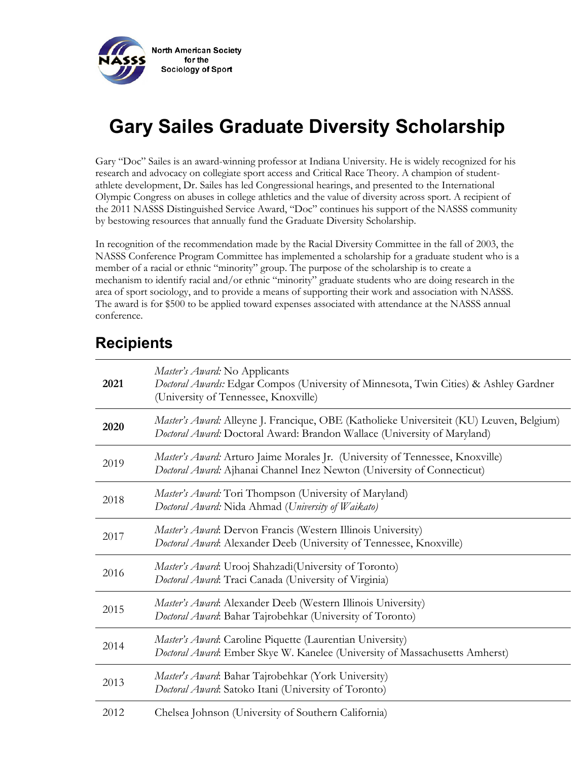

# **Gary Sailes Graduate Diversity Scholarship**

Gary "Doc" Sailes is an award-winning professor at Indiana University. He is widely recognized for his research and advocacy on collegiate sport access and Critical Race Theory. A champion of studentathlete development, Dr. Sailes has led Congressional hearings, and presented to the International Olympic Congress on abuses in college athletics and the value of diversity across sport. A recipient of the 2011 NASSS Distinguished Service Award, "Doc" continues his support of the NASSS community by bestowing resources that annually fund the Graduate Diversity Scholarship.

In recognition of the recommendation made by the Racial Diversity Committee in the fall of 2003, the NASSS Conference Program Committee has implemented a scholarship for a graduate student who is a member of a racial or ethnic "minority" group. The purpose of the scholarship is to create a mechanism to identify racial and/or ethnic "minority" graduate students who are doing research in the area of sport sociology, and to provide a means of supporting their work and association with NASSS. The award is for \$500 to be applied toward expenses associated with attendance at the NASSS annual conference.

| 2021 | Master's Award: No Applicants<br>Doctoral Awards: Edgar Compos (University of Minnesota, Twin Cities) & Ashley Gardner<br>(University of Tennessee, Knoxville)       |
|------|----------------------------------------------------------------------------------------------------------------------------------------------------------------------|
| 2020 | Master's Award: Alleyne J. Francique, OBE (Katholieke Universiteit (KU) Leuven, Belgium)<br>Doctoral Award: Doctoral Award: Brandon Wallace (University of Maryland) |
| 2019 | Master's Award: Arturo Jaime Morales Jr. (University of Tennessee, Knoxville)<br>Doctoral Award: Ajhanai Channel Inez Newton (University of Connecticut)             |
| 2018 | Master's Award: Tori Thompson (University of Maryland)<br>Doctoral Award: Nida Ahmad (University of Waikato)                                                         |
| 2017 | Master's Award: Dervon Francis (Western Illinois University)<br>Doctoral Award: Alexander Deeb (University of Tennessee, Knoxville)                                  |
| 2016 | Master's Award: Urooj Shahzadi(University of Toronto)<br>Doctoral Award: Traci Canada (University of Virginia)                                                       |
| 2015 | Master's Award: Alexander Deeb (Western Illinois University)<br>Doctoral Award: Bahar Tajrobehkar (University of Toronto)                                            |
| 2014 | Master's Award: Caroline Piquette (Laurentian University)<br>Doctoral Award: Ember Skye W. Kanelee (University of Massachusetts Amherst)                             |
| 2013 | Master's Award: Bahar Tajrobehkar (York University)<br>Doctoral Award: Satoko Itani (University of Toronto)                                                          |
| 2012 | Chelsea Johnson (University of Southern California)                                                                                                                  |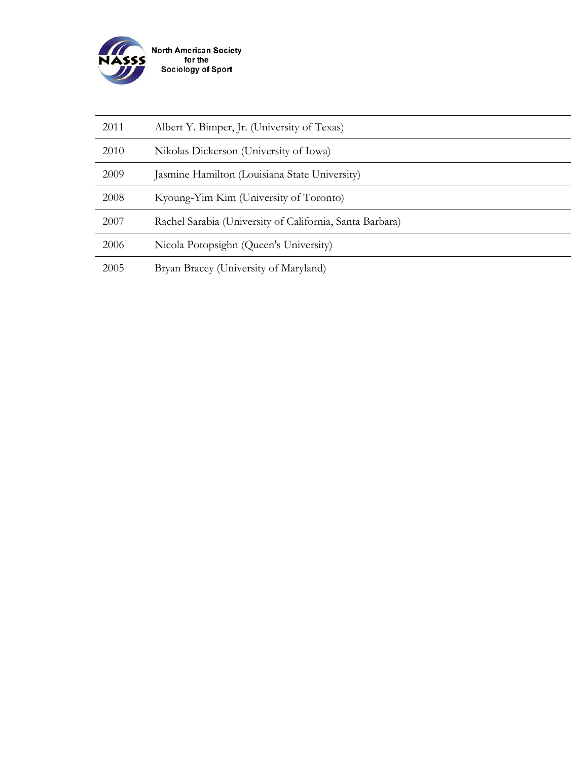

| 2011 | Albert Y. Bimper, Jr. (University of Texas)              |
|------|----------------------------------------------------------|
| 2010 | Nikolas Dickerson (University of Iowa)                   |
| 2009 | Jasmine Hamilton (Louisiana State University)            |
| 2008 | Kyoung-Yim Kim (University of Toronto)                   |
| 2007 | Rachel Sarabia (University of California, Santa Barbara) |
| 2006 | Nicola Potopsighn (Queen's University)                   |
| 2005 | Bryan Bracey (University of Maryland)                    |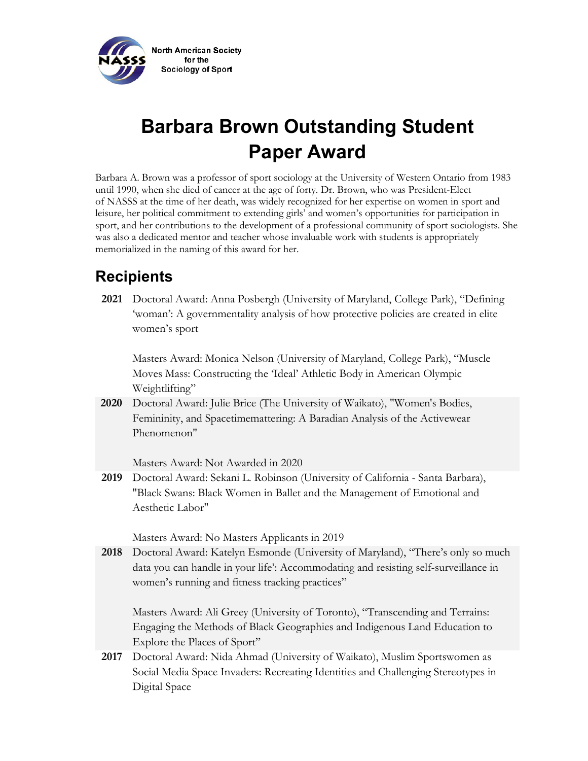

# **Barbara Brown Outstanding Student Paper Award**

Barbara A. Brown was a professor of sport sociology at the University of Western Ontario from 1983 until 1990, when she died of cancer at the age of forty. Dr. Brown, who was President-Elect of NASSS at the time of her death, was widely recognized for her expertise on women in sport and leisure, her political commitment to extending girls' and women's opportunities for participation in sport, and her contributions to the development of a professional community of sport sociologists. She was also a dedicated mentor and teacher whose invaluable work with students is appropriately memorialized in the naming of this award for her.

## **Recipients**

**2021** Doctoral Award: Anna Posbergh (University of Maryland, College Park), "Defining 'woman': A governmentality analysis of how protective policies are created in elite women's sport

Masters Award: Monica Nelson (University of Maryland, College Park), "Muscle Moves Mass: Constructing the 'Ideal' Athletic Body in American Olympic Weightlifting"

**2020** Doctoral Award: Julie Brice (The University of Waikato), "Women's Bodies, Femininity, and Spacetimemattering: A Baradian Analysis of the Activewear Phenomenon"

Masters Award: Not Awarded in 2020

**2019** Doctoral Award: Sekani L. Robinson (University of California - Santa Barbara), "Black Swans: Black Women in Ballet and the Management of Emotional and Aesthetic Labor"

Masters Award: No Masters Applicants in 2019

**2018** Doctoral Award: Katelyn Esmonde (University of Maryland), "There's only so much data you can handle in your life': Accommodating and resisting self-surveillance in women's running and fitness tracking practices"

Masters Award: Ali Greey (University of Toronto), "Transcending and Terrains: Engaging the Methods of Black Geographies and Indigenous Land Education to Explore the Places of Sport"

**2017** Doctoral Award: Nida Ahmad (University of Waikato), Muslim Sportswomen as Social Media Space Invaders: Recreating Identities and Challenging Stereotypes in Digital Space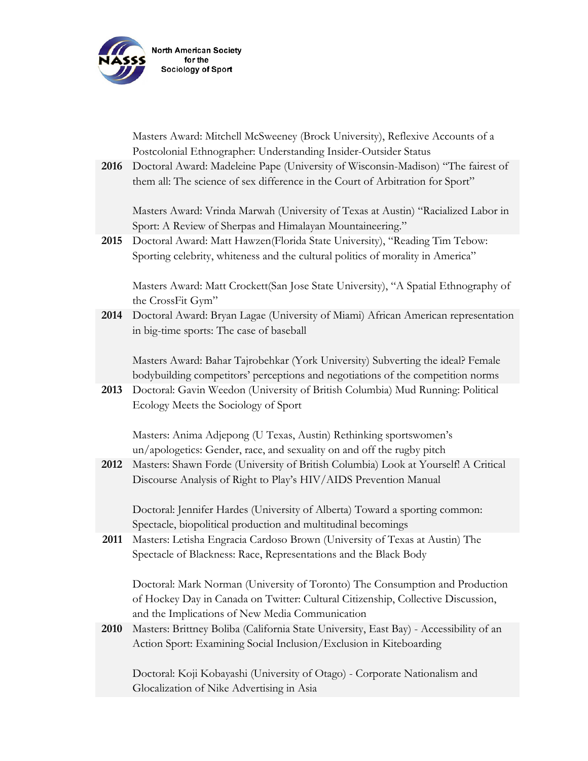

Masters Award: Mitchell McSweeney (Brock University), Reflexive Accounts of a Postcolonial Ethnographer: Understanding Insider-Outsider Status

**2016** Doctoral Award: Madeleine Pape (University of Wisconsin-Madison) "The fairest of them all: The science of sex difference in the Court of Arbitration for Sport"

Masters Award: Vrinda Marwah (University of Texas at Austin) "Racialized Labor in Sport: A Review of Sherpas and Himalayan Mountaineering."

**2015** Doctoral Award: Matt Hawzen(Florida State University), "Reading Tim Tebow: Sporting celebrity, whiteness and the cultural politics of morality in America"

Masters Award: Matt Crockett(San Jose State University), "A Spatial Ethnography of the CrossFit Gym"

**2014** Doctoral Award: Bryan Lagae (University of Miami) African American representation in big-time sports: The case of baseball

Masters Award: Bahar Tajrobehkar (York University) Subverting the ideal? Female bodybuilding competitors' perceptions and negotiations of the competition norms

**2013** Doctoral: Gavin Weedon (University of British Columbia) Mud Running: Political Ecology Meets the Sociology of Sport

Masters: Anima Adjepong (U Texas, Austin) Rethinking sportswomen's un/apologetics: Gender, race, and sexuality on and off the rugby pitch

**2012** Masters: Shawn Forde (University of British Columbia) Look at Yourself! A Critical Discourse Analysis of Right to Play's HIV/AIDS Prevention Manual

Doctoral: Jennifer Hardes (University of Alberta) Toward a sporting common: Spectacle, biopolitical production and multitudinal becomings

**2011** Masters: Letisha Engracia Cardoso Brown (University of Texas at Austin) The Spectacle of Blackness: Race, Representations and the Black Body

Doctoral: Mark Norman (University of Toronto) The Consumption and Production of Hockey Day in Canada on Twitter: Cultural Citizenship, Collective Discussion, and the Implications of New Media Communication

**2010** Masters: Brittney Boliba (California State University, East Bay) - Accessibility of an Action Sport: Examining Social Inclusion/Exclusion in Kiteboarding

Doctoral: Koji Kobayashi (University of Otago) - Corporate Nationalism and Glocalization of Nike Advertising in Asia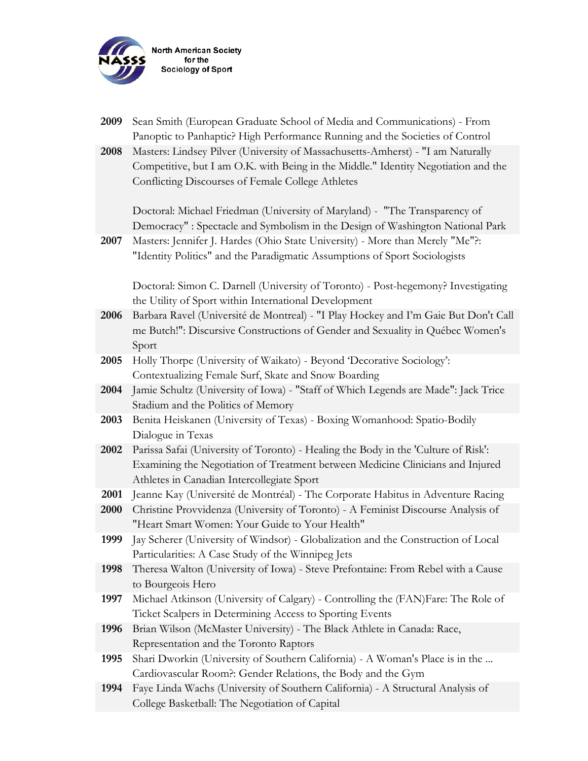

| 2009 | Sean Smith (European Graduate School of Media and Communications) - From<br>Panoptic to Panhaptic? High Performance Running and the Societies of Control                                                                   |
|------|----------------------------------------------------------------------------------------------------------------------------------------------------------------------------------------------------------------------------|
| 2008 | Masters: Lindsey Pilver (University of Massachusetts-Amherst) - "I am Naturally<br>Competitive, but I am O.K. with Being in the Middle." Identity Negotiation and the<br>Conflicting Discourses of Female College Athletes |
|      | Doctoral: Michael Friedman (University of Maryland) - "The Transparency of<br>Democracy": Spectacle and Symbolism in the Design of Washington National Park                                                                |
| 2007 | Masters: Jennifer J. Hardes (Ohio State University) - More than Merely "Me"?:<br>"Identity Politics" and the Paradigmatic Assumptions of Sport Sociologists                                                                |
|      | Doctoral: Simon C. Darnell (University of Toronto) - Post-hegemony? Investigating<br>the Utility of Sport within International Development                                                                                 |
| 2006 | Barbara Ravel (Université de Montreal) - "I Play Hockey and I'm Gaie But Don't Call<br>me Butch!": Discursive Constructions of Gender and Sexuality in Québec Women's<br>Sport                                             |
| 2005 | Holly Thorpe (University of Waikato) - Beyond 'Decorative Sociology':<br>Contextualizing Female Surf, Skate and Snow Boarding                                                                                              |
| 2004 | Jamie Schultz (University of Iowa) - "Staff of Which Legends are Made": Jack Trice<br>Stadium and the Politics of Memory                                                                                                   |
| 2003 | Benita Heiskanen (University of Texas) - Boxing Womanhood: Spatio-Bodily<br>Dialogue in Texas                                                                                                                              |
| 2002 | Parissa Safai (University of Toronto) - Healing the Body in the 'Culture of Risk':<br>Examining the Negotiation of Treatment between Medicine Clinicians and Injured<br>Athletes in Canadian Intercollegiate Sport         |
| 2001 | Jeanne Kay (Université de Montréal) - The Corporate Habitus in Adventure Racing                                                                                                                                            |
| 2000 | Christine Provvidenza (University of Toronto) - A Feminist Discourse Analysis of<br>"Heart Smart Women: Your Guide to Your Health"                                                                                         |
| 1999 | Jay Scherer (University of Windsor) - Globalization and the Construction of Local<br>Particularities: A Case Study of the Winnipeg Jets                                                                                    |
| 1998 | Theresa Walton (University of Iowa) - Steve Prefontaine: From Rebel with a Cause<br>to Bourgeois Hero                                                                                                                      |
| 1997 | Michael Atkinson (University of Calgary) - Controlling the (FAN)Fare: The Role of<br>Ticket Scalpers in Determining Access to Sporting Events                                                                              |
| 1996 | Brian Wilson (McMaster University) - The Black Athlete in Canada: Race,<br>Representation and the Toronto Raptors                                                                                                          |
| 1995 | Shari Dworkin (University of Southern California) - A Woman's Place is in the<br>Cardiovascular Room?: Gender Relations, the Body and the Gym                                                                              |
| 1994 | Faye Linda Wachs (University of Southern California) - A Structural Analysis of<br>College Basketball: The Negotiation of Capital                                                                                          |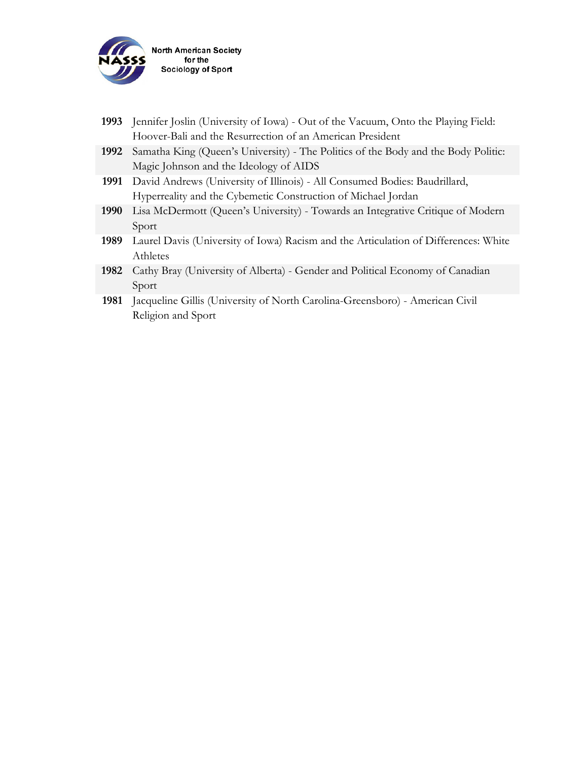

| 1993 | Jennifer Joslin (University of Iowa) - Out of the Vacuum, Onto the Playing Field:   |
|------|-------------------------------------------------------------------------------------|
|      | Hoover-Bali and the Resurrection of an American President                           |
| 1992 | Samatha King (Queen's University) - The Politics of the Body and the Body Politic:  |
|      | Magic Johnson and the Ideology of AIDS                                              |
| 1991 | David Andrews (University of Illinois) - All Consumed Bodies: Baudrillard,          |
|      | Hyperreality and the Cybemetic Construction of Michael Jordan                       |
| 1990 | Lisa McDermott (Queen's University) - Towards an Integrative Critique of Modern     |
|      | Sport                                                                               |
| 1989 | Laurel Davis (University of Iowa) Racism and the Articulation of Differences: White |
|      | Athletes                                                                            |
| 1982 | Cathy Bray (University of Alberta) - Gender and Political Economy of Canadian       |
|      | Sport                                                                               |
| 1981 | Jacqueline Gillis (University of North Carolina-Greensboro) - American Civil        |
|      | Religion and Sport                                                                  |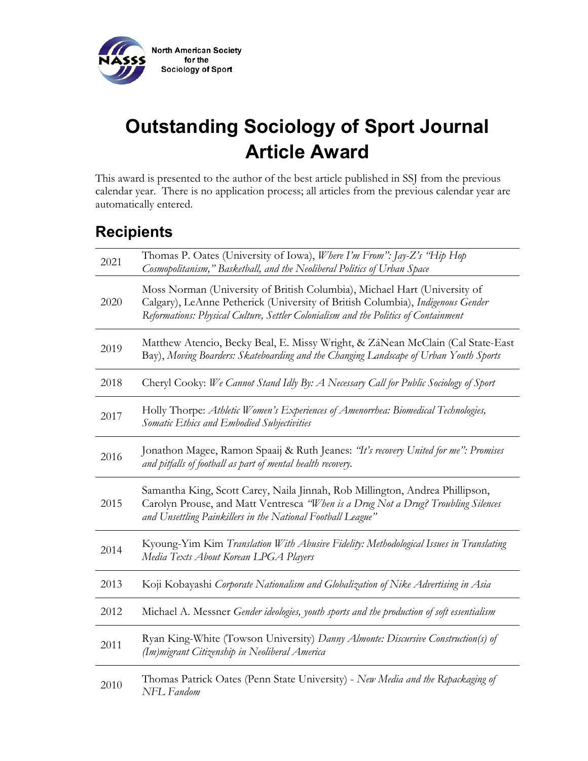

# **Outstanding Sociology of Sport Journal Article Award**

This award is presented to the author of the best article published in SSJ from the previous calendar year. There is no application process; all articles from the previous calendar year are automatically entered.

| 2021 | Thomas P. Oates (University of Iowa), <i>Where I'm From": Jay-Z's "Hip Hop</i> "<br>Cosmopolitanism," Basketball, and the Neoliberal Politics of Urban Space                                                                                       |
|------|----------------------------------------------------------------------------------------------------------------------------------------------------------------------------------------------------------------------------------------------------|
| 2020 | Moss Norman (University of British Columbia), Michael Hart (University of<br>Calgary), LeAnne Petherick (University of British Columbia), Indigenous Gender<br>Reformations: Physical Culture, Settler Colonialism and the Politics of Containment |
| 2019 | Matthew Atencio, Becky Beal, E. Missy Wright, & ZáNean McClain (Cal State-East<br>Bay), Moving Boarders: Skateboarding and the Changing Landscape of Urban Youth Sports                                                                            |
| 2018 | Cheryl Cooky: We Cannot Stand Idly By: A Necessary Call for Public Sociology of Sport                                                                                                                                                              |
| 2017 | Holly Thorpe: Athletic Women's Experiences of Amenorrhea: Biomedical Technologies,<br>Somatic Ethics and Embodied Subjectivities                                                                                                                   |
| 2016 | Jonathon Magee, Ramon Spaaij & Ruth Jeanes: "It's recovery United for me": Promises<br>and pitfalls of football as part of mental health recovery.                                                                                                 |
| 2015 | Samantha King, Scott Carey, Naila Jinnah, Rob Millington, Andrea Phillipson,<br>Carolyn Prouse, and Matt Ventresca "When is a Drug Not a Drug? Troubling Silences<br>and Unsettling Painkillers in the National Football League"                   |
| 2014 | Kyoung-Yim Kim Translation With Abusive Fidelity: Methodological Issues in Translating<br>Media Texts About Korean LPGA Players                                                                                                                    |
| 2013 | Koji Kobayashi Corporate Nationalism and Globalization of Nike Advertising in Asia                                                                                                                                                                 |
| 2012 | Michael A. Messner Gender ideologies, youth sports and the production of soft essentialism                                                                                                                                                         |
| 2011 | Ryan King-White (Towson University) Danny Almonte: Discursive Construction(s) of<br>(Im)migrant Citizenship in Neoliberal America                                                                                                                  |
| 2010 | Thomas Patrick Oates (Penn State University) - New Media and the Repackaging of<br>NFL Fandom                                                                                                                                                      |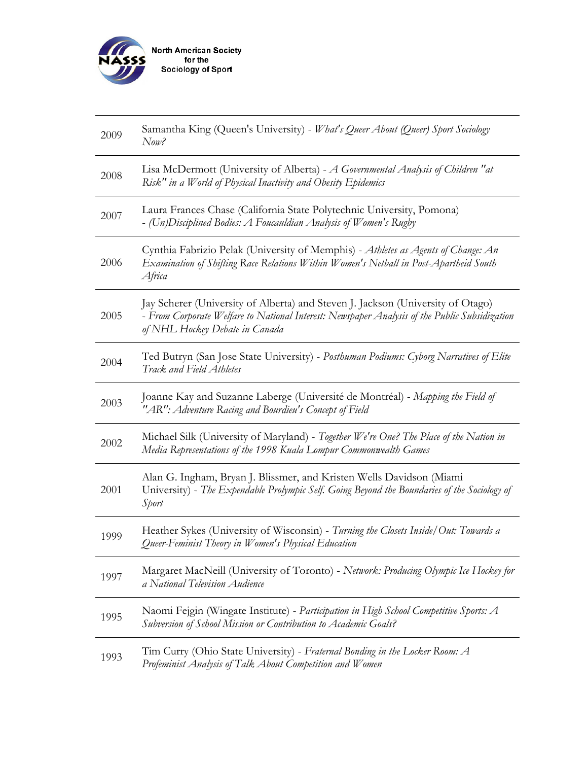

| 2009 | Samantha King (Queen's University) - What's Queer About (Queer) Sport Sociology<br>Now?                                                                                                                            |
|------|--------------------------------------------------------------------------------------------------------------------------------------------------------------------------------------------------------------------|
| 2008 | Lisa McDermott (University of Alberta) - A Governmental Analysis of Children "at<br>Risk" in a World of Physical Inactivity and Obesity Epidemics                                                                  |
| 2007 | Laura Frances Chase (California State Polytechnic University, Pomona)<br>- (Un)Disciplined Bodies: A Foucauldian Analysis of Women's Rugby                                                                         |
| 2006 | Cynthia Fabrizio Pelak (University of Memphis) - Athletes as Agents of Change: An<br>Examination of Shifting Race Relations Within Women's Netball in Post-Apartheid South<br>Africa                               |
| 2005 | Jav Scherer (University of Alberta) and Steven J. Jackson (University of Otago)<br>- From Corporate Welfare to National Interest: Newspaper Analysis of the Public Subsidization<br>of NHL Hockey Debate in Canada |
| 2004 | Ted Butryn (San Jose State University) - Posthuman Podiums: Cyborg Narratives of Elite<br>Track and Field Athletes                                                                                                 |
| 2003 | Joanne Kay and Suzanne Laberge (Université de Montréal) - Mapping the Field of<br>"AR": Adventure Racing and Bourdieu's Concept of Field                                                                           |
| 2002 | Michael Silk (University of Maryland) - Together We're One? The Place of the Nation in<br>Media Representations of the 1998 Kuala Lompur Commonwealth Games                                                        |
| 2001 | Alan G. Ingham, Bryan J. Blissmer, and Kristen Wells Davidson (Miami<br>University) - The Expendable Prolympic Self. Going Beyond the Boundaries of the Sociology of<br>Sport                                      |
| 1999 | Heather Sykes (University of Wisconsin) - Turning the Closets Inside/Out: Towards a<br>Queer-Feminist Theory in Women's Physical Education                                                                         |
| 1997 | Margaret MacNeill (University of Toronto) - Network: Producing Olympic Ice Hockey for<br>a National Television Audience                                                                                            |
| 1995 | Naomi Fejgin (Wingate Institute) - Participation in High School Competitive Sports: A<br>Subversion of School Mission or Contribution to Academic Goals?                                                           |
| 1993 | Tim Curry (Ohio State University) - Fraternal Bonding in the Locker Room: A<br>Profeminist Analysis of Talk About Competition and Women                                                                            |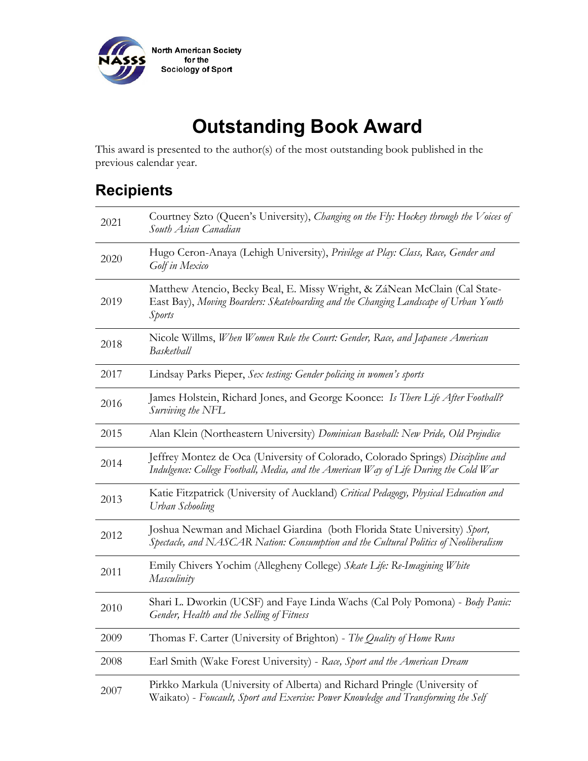

# **Outstanding Book Award**

This award is presented to the author(s) of the most outstanding book published in the previous calendar year.

| 2021 | Courtney Szto (Queen's University), Changing on the Fly: Hockey through the Voices of<br>South Asian Canadian                                                               |
|------|-----------------------------------------------------------------------------------------------------------------------------------------------------------------------------|
| 2020 | Hugo Ceron-Anaya (Lehigh University), Privilege at Play: Class, Race, Gender and<br>Golf in Mexico                                                                          |
| 2019 | Matthew Atencio, Becky Beal, E. Missy Wright, & ZáNean McClain (Cal State-<br>East Bay), Moving Boarders: Skateboarding and the Changing Landscape of Urban Youth<br>Sports |
| 2018 | Nicole Willms, When Women Rule the Court: Gender, Race, and Japanese American<br>Basketball                                                                                 |
| 2017 | Lindsay Parks Pieper, Sex testing: Gender policing in women's sports                                                                                                        |
| 2016 | James Holstein, Richard Jones, and George Koonce: Is There Life After Football?<br>Surviving the NFL                                                                        |
| 2015 | Alan Klein (Northeastern University) Dominican Baseball: New Pride, Old Prejudice                                                                                           |
| 2014 | Jeffrey Montez de Oca (University of Colorado, Colorado Springs) Discipline and<br>Indulgence: College Football, Media, and the American Way of Life During the Cold War    |
| 2013 | Katie Fitzpatrick (University of Auckland) Critical Pedagogy, Physical Education and<br>Urban Schooling                                                                     |
| 2012 | Joshua Newman and Michael Giardina (both Florida State University) Sport,<br>Spectacle, and NASCAR Nation: Consumption and the Cultural Politics of Neoliberalism           |
| 2011 | Emily Chivers Yochim (Allegheny College) Skate Life: Re-Imagining White<br>Masculinity                                                                                      |
| 2010 | Shari L. Dworkin (UCSF) and Faye Linda Wachs (Cal Poly Pomona) - Body Panic:<br>Gender, Health and the Selling of Fitness                                                   |
| 2009 | Thomas F. Carter (University of Brighton) - The Quality of Home Runs                                                                                                        |
| 2008 | Earl Smith (Wake Forest University) - Race, Sport and the American Dream                                                                                                    |
| 2007 | Pirkko Markula (University of Alberta) and Richard Pringle (University of<br>Waikato) - Foucault, Sport and Exercise: Power Knowledge and Transforming the Self             |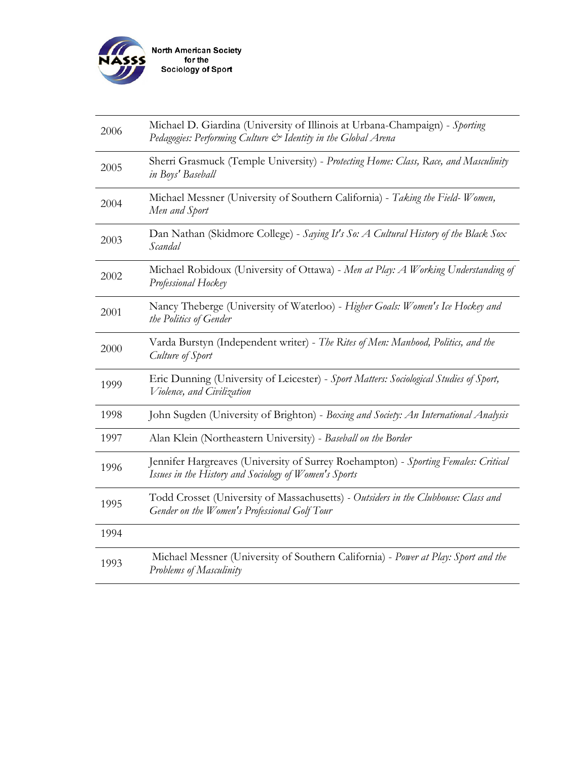

| 2006 | Michael D. Giardina (University of Illinois at Urbana-Champaign) - Sporting<br>Pedagogies: Performing Culture & Identity in the Global Arena |
|------|----------------------------------------------------------------------------------------------------------------------------------------------|
| 2005 | Sherri Grasmuck (Temple University) - Protecting Home: Class, Race, and Masculinity<br>in Boys' Baseball                                     |
| 2004 | Michael Messner (University of Southern California) - Taking the Field-Women,<br>Men and Sport                                               |
| 2003 | Dan Nathan (Skidmore College) - Saying It's So: A Cultural History of the Black Sox<br>Scandal                                               |
| 2002 | Michael Robidoux (University of Ottawa) - Men at Play: A Working Understanding of<br>Professional Hockey                                     |
| 2001 | Nancy Theberge (University of Waterloo) - Higher Goals: Women's Ice Hockey and<br>the Politics of Gender                                     |
| 2000 | Varda Burstyn (Independent writer) - The Rites of Men: Manhood, Politics, and the<br>Culture of Sport                                        |
| 1999 | Eric Dunning (University of Leicester) - Sport Matters: Sociological Studies of Sport,<br>Violence, and Civilization                         |
| 1998 | John Sugden (University of Brighton) - Boxing and Society: An International Analysis                                                         |
| 1997 | Alan Klein (Northeastern University) - Baseball on the Border                                                                                |
| 1996 | Jennifer Hargreaves (University of Surrey Roehampton) - Sporting Females: Critical<br>Issues in the History and Sociology of Women's Sports  |
| 1995 | Todd Crosset (University of Massachusetts) - Outsiders in the Clubhouse: Class and<br>Gender on the Women's Professional Golf Tour           |
| 1994 |                                                                                                                                              |
| 1993 | Michael Messner (University of Southern California) - Power at Play: Sport and the<br>Problems of Masculinity                                |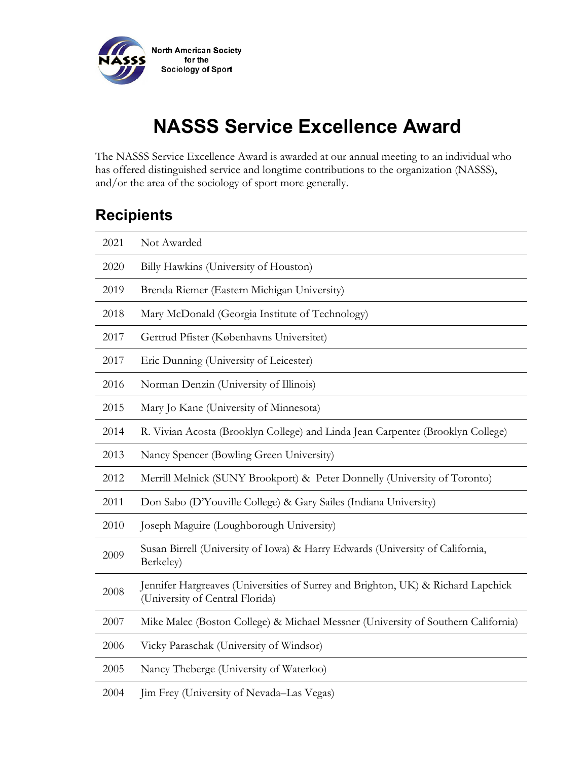

# **NASSS Service Excellence Award**

The NASSS Service Excellence Award is awarded at our annual meeting to an individual who has offered distinguished service and longtime contributions to the organization (NASSS), and/or the area of the sociology of sport more generally.

| 2021 | Not Awarded                                                                                                         |
|------|---------------------------------------------------------------------------------------------------------------------|
| 2020 | Billy Hawkins (University of Houston)                                                                               |
| 2019 | Brenda Riemer (Eastern Michigan University)                                                                         |
| 2018 | Mary McDonald (Georgia Institute of Technology)                                                                     |
| 2017 | Gertrud Pfister (Københavns Universitet)                                                                            |
| 2017 | Eric Dunning (University of Leicester)                                                                              |
| 2016 | Norman Denzin (University of Illinois)                                                                              |
| 2015 | Mary Jo Kane (University of Minnesota)                                                                              |
| 2014 | R. Vivian Acosta (Brooklyn College) and Linda Jean Carpenter (Brooklyn College)                                     |
| 2013 | Nancy Spencer (Bowling Green University)                                                                            |
| 2012 | Merrill Melnick (SUNY Brookport) & Peter Donnelly (University of Toronto)                                           |
| 2011 | Don Sabo (D'Youville College) & Gary Sailes (Indiana University)                                                    |
| 2010 | Joseph Maguire (Loughborough University)                                                                            |
| 2009 | Susan Birrell (University of Iowa) & Harry Edwards (University of California,<br>Berkeley)                          |
| 2008 | Jennifer Hargreaves (Universities of Surrey and Brighton, UK) & Richard Lapchick<br>(University of Central Florida) |
| 2007 | Mike Malec (Boston College) & Michael Messner (University of Southern California)                                   |
| 2006 | Vicky Paraschak (University of Windsor)                                                                             |
| 2005 | Nancy Theberge (University of Waterloo)                                                                             |
| 2004 | Jim Frey (University of Nevada-Las Vegas)                                                                           |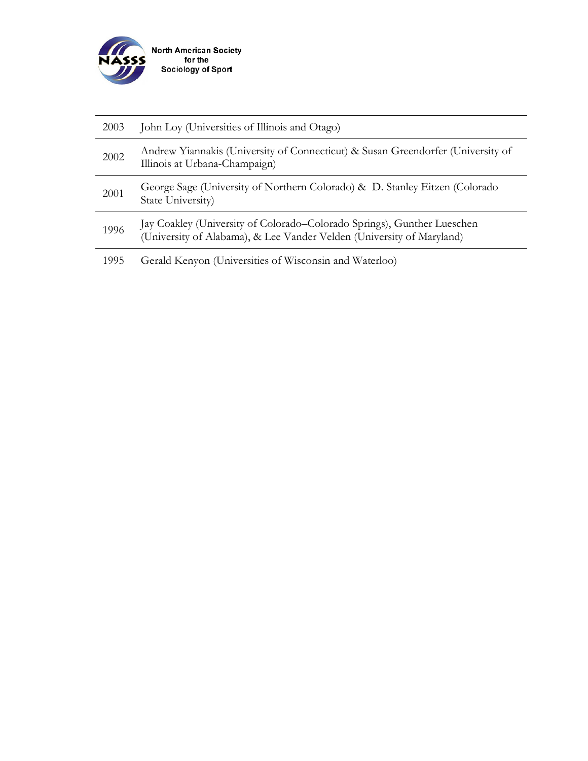

| 2003 | John Loy (Universities of Illinois and Otago)                                                                                                    |
|------|--------------------------------------------------------------------------------------------------------------------------------------------------|
| 2002 | Andrew Yiannakis (University of Connecticut) & Susan Greendorfer (University of<br>Illinois at Urbana-Champaign)                                 |
| 2001 | George Sage (University of Northern Colorado) & D. Stanley Eitzen (Colorado)<br>State University)                                                |
| 1996 | Jay Coakley (University of Colorado–Colorado Springs), Gunther Lueschen<br>(University of Alabama), & Lee Vander Velden (University of Maryland) |
| 1995 | Gerald Kenyon (Universities of Wisconsin and Waterloo)                                                                                           |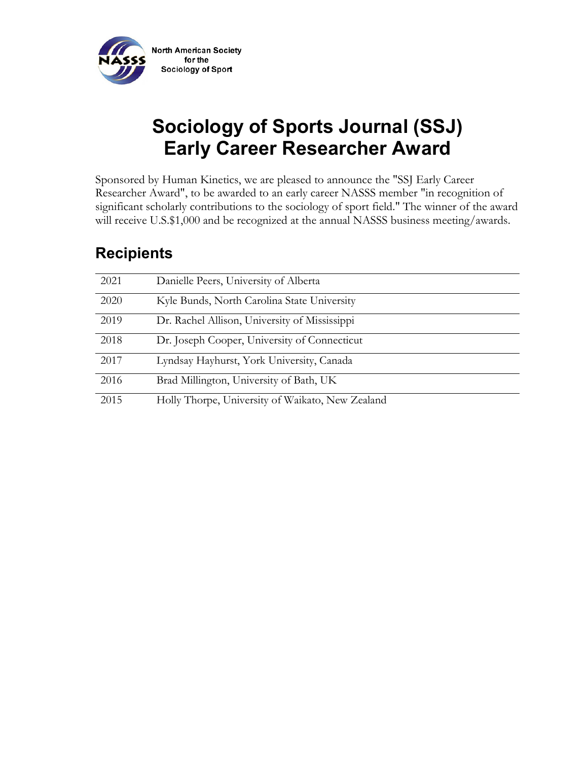

# **Sociology of Sports Journal (SSJ) Early Career Researcher Award**

Sponsored by Human Kinetics, we are pleased to announce the "SSJ Early Career Researcher Award", to be awarded to an early career NASSS member "in recognition of significant scholarly contributions to the sociology of sport field." The winner of the award will receive U.S.\$1,000 and be recognized at the annual NASSS business meeting/awards.

| 2021 | Danielle Peers, University of Alberta            |
|------|--------------------------------------------------|
| 2020 | Kyle Bunds, North Carolina State University      |
| 2019 | Dr. Rachel Allison, University of Mississippi    |
| 2018 | Dr. Joseph Cooper, University of Connecticut     |
| 2017 | Lyndsay Hayhurst, York University, Canada        |
| 2016 | Brad Millington, University of Bath, UK          |
| 2015 | Holly Thorpe, University of Waikato, New Zealand |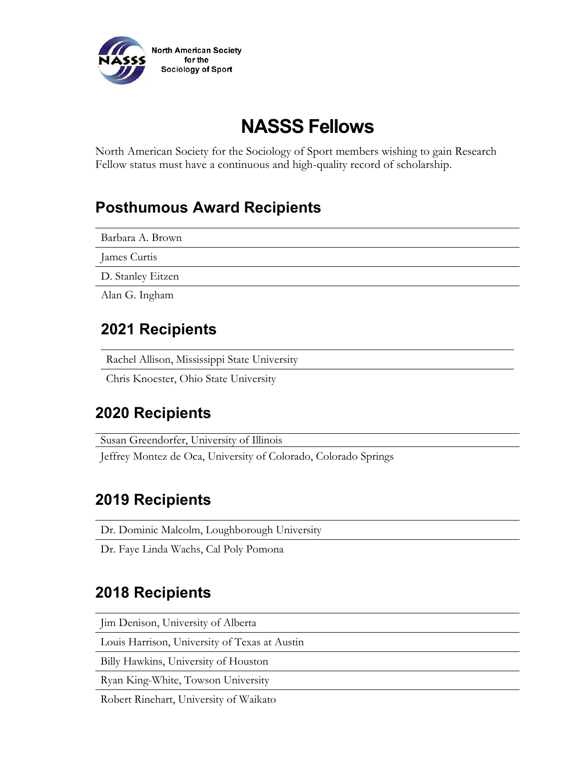

# **NASSS Fellows**

North American Society for the Sociology of Sport members wishing to gain Research Fellow status must have a continuous and high-quality record of scholarship.

### **Posthumous Award Recipients**

Barbara A. Brown

James Curtis

D. Stanley Eitzen

Alan G. Ingham

### **2021 Recipients**

Rachel Allison, Mississippi State University

Chris Knoester, Ohio State University

### **2020 Recipients**

Susan Greendorfer, University of Illinois

Jeffrey Montez de Oca, University of Colorado, Colorado Springs

### **2019 Recipients**

Dr. Dominic Malcolm, Loughborough University

Dr. Faye Linda Wachs, Cal Poly Pomona

### **2018 Recipients**

Jim Denison, University of Alberta

Louis Harrison, University of Texas at Austin

Billy Hawkins, University of Houston

Ryan King-White, Towson University

Robert Rinehart, University of Waikato